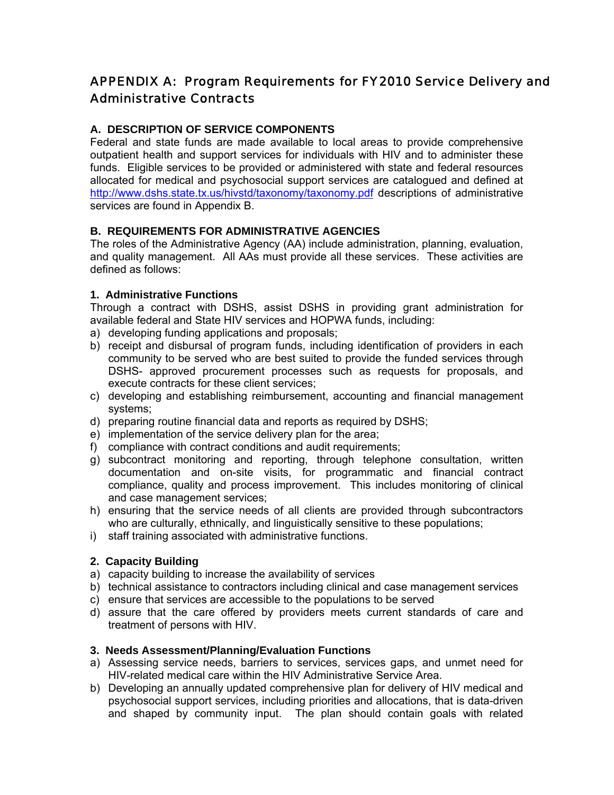# APPENDIX A: Program Requirements for FY2010 Service Delivery and Administrative Contracts

# **A. DESCRIPTION OF SERVICE COMPONENTS**

Federal and state funds are made available to local areas to provide comprehensive outpatient health and support services for individuals with HIV and to administer these funds. Eligible services to be provided or administered with state and federal resources allocated for medical and psychosocial support services are catalogued and defined at http://www.dshs.state.tx.us/hivstd/taxonomy/taxonomy.pdf descriptions of administrative services are found in Appendix B.

### **B. REQUIREMENTS FOR ADMINISTRATIVE AGENCIES**

The roles of the Administrative Agency (AA) include administration, planning, evaluation, and quality management. All AAs must provide all these services. These activities are defined as follows:

### **1. Administrative Functions**

Through a contract with DSHS, assist DSHS in providing grant administration for available federal and State HIV services and HOPWA funds, including:

- a) developing funding applications and proposals;
- b) receipt and disbursal of program funds, including identification of providers in each community to be served who are best suited to provide the funded services through DSHS- approved procurement processes such as requests for proposals, and execute contracts for these client services;
- c) developing and establishing reimbursement, accounting and financial management systems;
- d) preparing routine financial data and reports as required by DSHS;
- e) implementation of the service delivery plan for the area;
- f) compliance with contract conditions and audit requirements;
- g) subcontract monitoring and reporting, through telephone consultation, written documentation and on-site visits, for programmatic and financial contract compliance, quality and process improvement. This includes monitoring of clinical and case management services;
- h) ensuring that the service needs of all clients are provided through subcontractors who are culturally, ethnically, and linguistically sensitive to these populations;
- i) staff training associated with administrative functions.

### **2. Capacity Building**

- a) capacity building to increase the availability of services
- b) technical assistance to contractors including clinical and case management services
- c) ensure that services are accessible to the populations to be served
- d) assure that the care offered by providers meets current standards of care and treatment of persons with HIV.

#### **3. Needs Assessment/Planning/Evaluation Functions**

- a) Assessing service needs, barriers to services, services gaps, and unmet need for HIV-related medical care within the HIV Administrative Service Area.
- b) Developing an annually updated comprehensive plan for delivery of HIV medical and psychosocial support services, including priorities and allocations, that is data-driven and shaped by community input. The plan should contain goals with related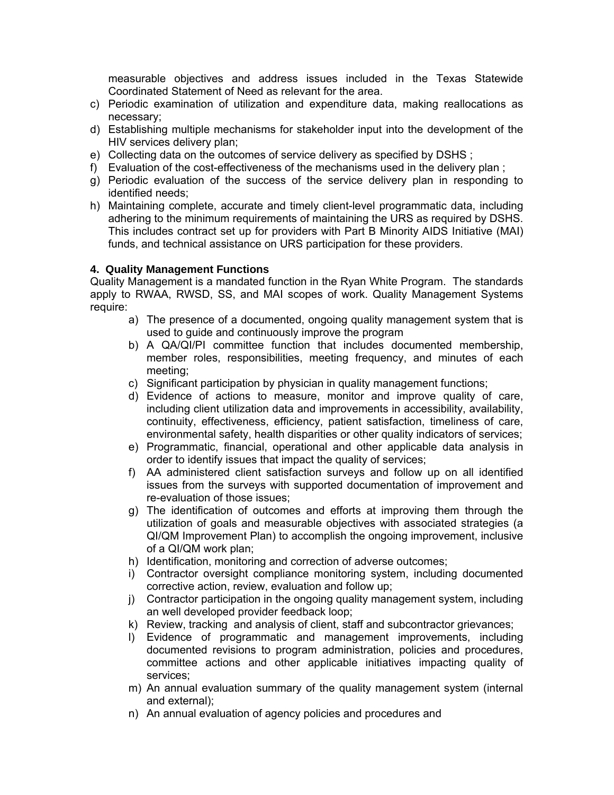measurable objectives and address issues included in the Texas Statewide Coordinated Statement of Need as relevant for the area.

- c) Periodic examination of utilization and expenditure data, making reallocations as necessary;
- d) Establishing multiple mechanisms for stakeholder input into the development of the HIV services delivery plan;
- e) Collecting data on the outcomes of service delivery as specified by DSHS ;
- f) Evaluation of the cost-effectiveness of the mechanisms used in the delivery plan ;
- g) Periodic evaluation of the success of the service delivery plan in responding to identified needs;
- h) Maintaining complete, accurate and timely client-level programmatic data, including adhering to the minimum requirements of maintaining the URS as required by DSHS. This includes contract set up for providers with Part B Minority AIDS Initiative (MAI) funds, and technical assistance on URS participation for these providers.

### **4. Quality Management Functions**

Quality Management is a mandated function in the Ryan White Program. The standards apply to RWAA, RWSD, SS, and MAI scopes of work. Quality Management Systems require:

- a) The presence of a documented, ongoing quality management system that is used to guide and continuously improve the program
- b) A QA/QI/PI committee function that includes documented membership, member roles, responsibilities, meeting frequency, and minutes of each meeting;
- c) Significant participation by physician in quality management functions;
- d) Evidence of actions to measure, monitor and improve quality of care, including client utilization data and improvements in accessibility, availability, continuity, effectiveness, efficiency, patient satisfaction, timeliness of care, environmental safety, health disparities or other quality indicators of services;
- e) Programmatic, financial, operational and other applicable data analysis in order to identify issues that impact the quality of services;
- f) AA administered client satisfaction surveys and follow up on all identified issues from the surveys with supported documentation of improvement and re-evaluation of those issues;
- g) The identification of outcomes and efforts at improving them through the utilization of goals and measurable objectives with associated strategies (a QI/QM Improvement Plan) to accomplish the ongoing improvement, inclusive of a QI/QM work plan;
- h) Identification, monitoring and correction of adverse outcomes;
- i) Contractor oversight compliance monitoring system, including documented corrective action, review, evaluation and follow up;
- j) Contractor participation in the ongoing quality management system, including an well developed provider feedback loop;
- k) Review, tracking and analysis of client, staff and subcontractor grievances;
- l) Evidence of programmatic and management improvements, including documented revisions to program administration, policies and procedures, committee actions and other applicable initiatives impacting quality of services;
- m) An annual evaluation summary of the quality management system (internal and external);
- n) An annual evaluation of agency policies and procedures and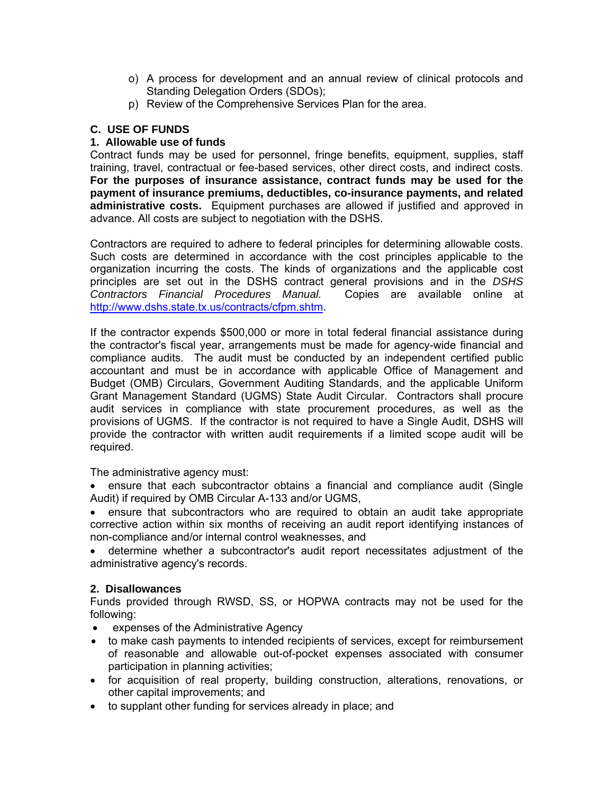- o) A process for development and an annual review of clinical protocols and Standing Delegation Orders (SDOs);
- p) Review of the Comprehensive Services Plan for the area.

### **C. USE OF FUNDS**

#### **1. Allowable use of funds**

Contract funds may be used for personnel, fringe benefits, equipment, supplies, staff training, travel, contractual or fee-based services, other direct costs, and indirect costs. **For the purposes of insurance assistance, contract funds may be used for the payment of insurance premiums, deductibles, co-insurance payments, and related administrative costs.** Equipment purchases are allowed if justified and approved in advance. All costs are subject to negotiation with the DSHS.

Contractors are required to adhere to federal principles for determining allowable costs. Such costs are determined in accordance with the cost principles applicable to the organization incurring the costs. The kinds of organizations and the applicable cost principles are set out in the DSHS contract general provisions and in the *DSHS Contractors Financial Procedures Manual.* Copies are available online at http://www.dshs.state.tx.us/contracts/cfpm.shtm.

If the contractor expends \$500,000 or more in total federal financial assistance during the contractor's fiscal year, arrangements must be made for agency-wide financial and compliance audits. The audit must be conducted by an independent certified public accountant and must be in accordance with applicable Office of Management and Budget (OMB) Circulars, Government Auditing Standards, and the applicable Uniform Grant Management Standard (UGMS) State Audit Circular. Contractors shall procure audit services in compliance with state procurement procedures, as well as the provisions of UGMS. If the contractor is not required to have a Single Audit, DSHS will provide the contractor with written audit requirements if a limited scope audit will be required.

The administrative agency must:

• ensure that each subcontractor obtains a financial and compliance audit (Single Audit) if required by OMB Circular A-133 and/or UGMS,

• ensure that subcontractors who are required to obtain an audit take appropriate corrective action within six months of receiving an audit report identifying instances of non-compliance and/or internal control weaknesses, and

• determine whether a subcontractor's audit report necessitates adjustment of the administrative agency's records.

#### **2. Disallowances**

Funds provided through RWSD, SS, or HOPWA contracts may not be used for the following:

- expenses of the Administrative Agency
- to make cash payments to intended recipients of services, except for reimbursement of reasonable and allowable out-of-pocket expenses associated with consumer participation in planning activities;
- for acquisition of real property, building construction, alterations, renovations, or other capital improvements; and
- to supplant other funding for services already in place; and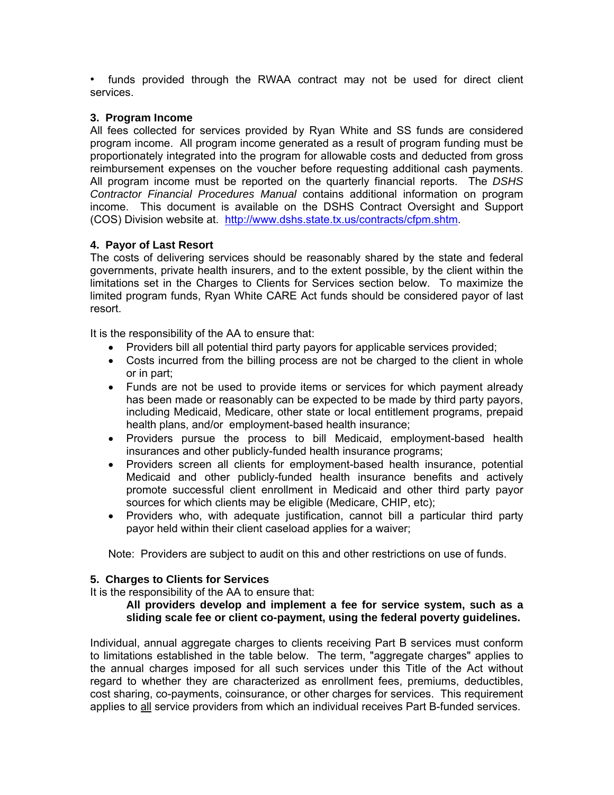• funds provided through the RWAA contract may not be used for direct client services.

### **3. Program Income**

All fees collected for services provided by Ryan White and SS funds are considered program income. All program income generated as a result of program funding must be proportionately integrated into the program for allowable costs and deducted from gross reimbursement expenses on the voucher before requesting additional cash payments. All program income must be reported on the quarterly financial reports. The *DSHS Contractor Financial Procedures Manual* contains additional information on program income. This document is available on the DSHS Contract Oversight and Support (COS) Division website at. http://www.dshs.state.tx.us/contracts/cfpm.shtm.

### **4. Payor of Last Resort**

The costs of delivering services should be reasonably shared by the state and federal governments, private health insurers, and to the extent possible, by the client within the limitations set in the Charges to Clients for Services section below. To maximize the limited program funds, Ryan White CARE Act funds should be considered payor of last resort.

It is the responsibility of the AA to ensure that:

- Providers bill all potential third party payors for applicable services provided;
- Costs incurred from the billing process are not be charged to the client in whole or in part;
- Funds are not be used to provide items or services for which payment already has been made or reasonably can be expected to be made by third party payors, including Medicaid, Medicare, other state or local entitlement programs, prepaid health plans, and/or employment-based health insurance;
- Providers pursue the process to bill Medicaid, employment-based health insurances and other publicly-funded health insurance programs;
- Providers screen all clients for employment-based health insurance, potential Medicaid and other publicly-funded health insurance benefits and actively promote successful client enrollment in Medicaid and other third party payor sources for which clients may be eligible (Medicare, CHIP, etc);
- Providers who, with adequate justification, cannot bill a particular third party payor held within their client caseload applies for a waiver;

Note: Providers are subject to audit on this and other restrictions on use of funds.

#### **5. Charges to Clients for Services**

It is the responsibility of the AA to ensure that:

**All providers develop and implement a fee for service system, such as a sliding scale fee or client co-payment, using the federal poverty guidelines.** 

Individual, annual aggregate charges to clients receiving Part B services must conform to limitations established in the table below. The term, "aggregate charges" applies to the annual charges imposed for all such services under this Title of the Act without regard to whether they are characterized as enrollment fees, premiums, deductibles, cost sharing, co-payments, coinsurance, or other charges for services. This requirement applies to all service providers from which an individual receives Part B-funded services.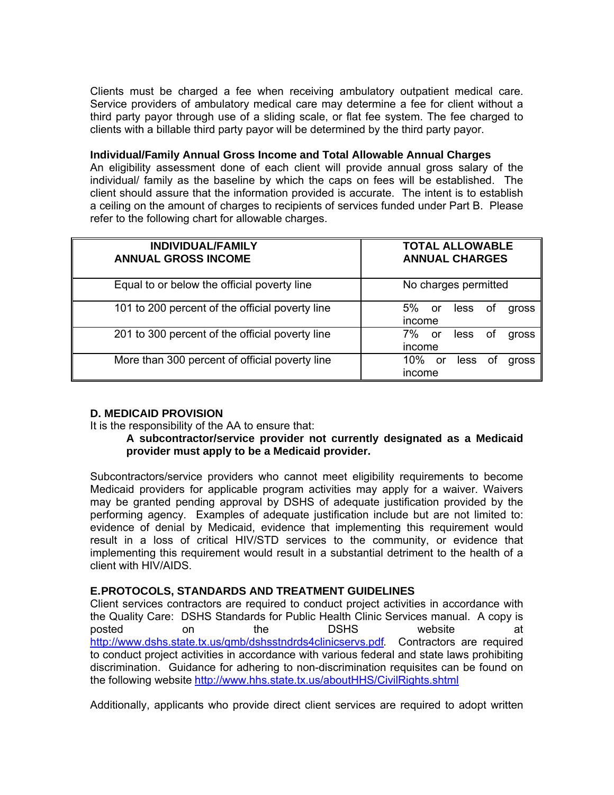Clients must be charged a fee when receiving ambulatory outpatient medical care. Service providers of ambulatory medical care may determine a fee for client without a third party payor through use of a sliding scale, or flat fee system. The fee charged to clients with a billable third party payor will be determined by the third party payor.

#### **Individual/Family Annual Gross Income and Total Allowable Annual Charges**

An eligibility assessment done of each client will provide annual gross salary of the individual/ family as the baseline by which the caps on fees will be established. The client should assure that the information provided is accurate. The intent is to establish a ceiling on the amount of charges to recipients of services funded under Part B. Please refer to the following chart for allowable charges.

| <b>INDIVIDUAL/FAMILY</b><br><b>ANNUAL GROSS INCOME</b> | <b>TOTAL ALLOWABLE</b><br><b>ANNUAL CHARGES</b> |
|--------------------------------------------------------|-------------------------------------------------|
| Equal to or below the official poverty line            | No charges permitted                            |
| 101 to 200 percent of the official poverty line        | 5% l<br>less<br>or<br>0t<br>gross<br>income     |
| 201 to 300 percent of the official poverty line        | 7%<br>less<br>or<br>gross<br>0t<br>income       |
| More than 300 percent of official poverty line         | 10%<br>less<br>or<br>gross<br>Οl<br>income      |

#### **D. MEDICAID PROVISION**

It is the responsibility of the AA to ensure that:

### **A subcontractor/service provider not currently designated as a Medicaid provider must apply to be a Medicaid provider.**

Subcontractors/service providers who cannot meet eligibility requirements to become Medicaid providers for applicable program activities may apply for a waiver. Waivers may be granted pending approval by DSHS of adequate justification provided by the performing agency. Examples of adequate justification include but are not limited to: evidence of denial by Medicaid, evidence that implementing this requirement would result in a loss of critical HIV/STD services to the community, or evidence that implementing this requirement would result in a substantial detriment to the health of a client with HIV/AIDS.

### **E. PROTOCOLS, STANDARDS AND TREATMENT GUIDELINES**

 Client services contractors are required to conduct project activities in accordance with the Quality Care: DSHS Standards for Public Health Clinic Services manual. A copy is posted on the DSHS website at http://www.dshs.state.tx.us/qmb/dshsstndrds4clinicservs.pdf*.* Contractors are required to conduct project activities in accordance with various federal and state laws prohibiting discrimination. Guidance for adhering to non-discrimination requisites can be found on the following website http://www.hhs.state.tx.us/aboutHHS/CivilRights.shtml

Additionally, applicants who provide direct client services are required to adopt written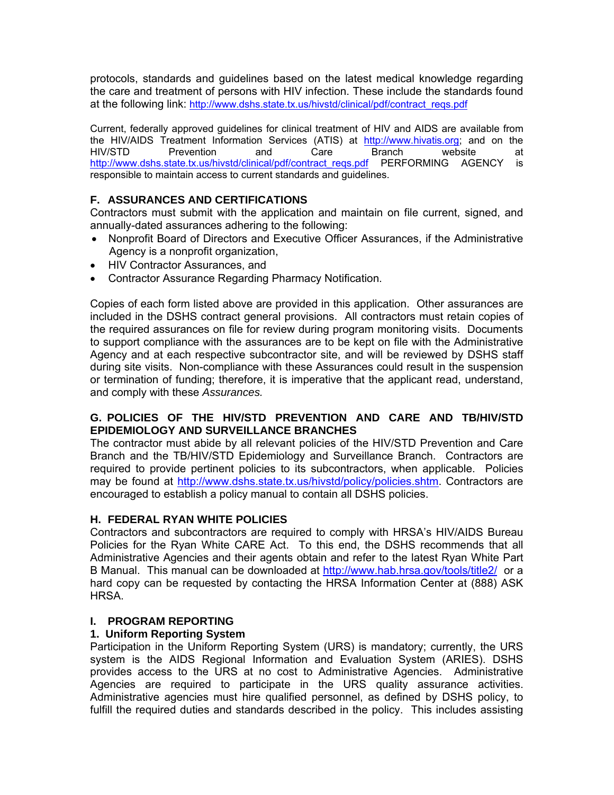protocols, standards and guidelines based on the latest medical knowledge regarding the care and treatment of persons with HIV infection. These include the standards found at the following link: http://www.dshs.state.tx.us/hivstd/clinical/pdf/contract\_reqs.pdf

Current, federally approved guidelines for clinical treatment of HIV and AIDS are available from the HIV/AIDS Treatment Information Services (ATIS) at http://www.hivatis.org; and on the HIV/STD Prevention and Care Branch website at http://www.dshs.state.tx.us/hivstd/clinical/pdf/contract\_reqs.pdf PERFORMING AGENCY is responsible to maintain access to current standards and guidelines.

# **F. ASSURANCES AND CERTIFICATIONS**

Contractors must submit with the application and maintain on file current, signed, and annually-dated assurances adhering to the following:

- Nonprofit Board of Directors and Executive Officer Assurances, if the Administrative Agency is a nonprofit organization,
- HIV Contractor Assurances, and
- Contractor Assurance Regarding Pharmacy Notification.

Copies of each form listed above are provided in this application. Other assurances are included in the DSHS contract general provisions. All contractors must retain copies of the required assurances on file for review during program monitoring visits. Documents to support compliance with the assurances are to be kept on file with the Administrative Agency and at each respective subcontractor site, and will be reviewed by DSHS staff during site visits. Non-compliance with these Assurances could result in the suspension or termination of funding; therefore, it is imperative that the applicant read, understand, and comply with these *Assurances.*

### **G. POLICIES OF THE HIV/STD PREVENTION AND CARE AND TB/HIV/STD EPIDEMIOLOGY AND SURVEILLANCE BRANCHES**

The contractor must abide by all relevant policies of the HIV/STD Prevention and Care Branch and the TB/HIV/STD Epidemiology and Surveillance Branch. Contractors are required to provide pertinent policies to its subcontractors, when applicable. Policies may be found at http://www.dshs.state.tx.us/hivstd/policy/policies.shtm. Contractors are encouraged to establish a policy manual to contain all DSHS policies.

### **H. FEDERAL RYAN WHITE POLICIES**

Contractors and subcontractors are required to comply with HRSA's HIV/AIDS Bureau Policies for the Ryan White CARE Act. To this end, the DSHS recommends that all Administrative Agencies and their agents obtain and refer to the latest Ryan White Part B Manual. This manual can be downloaded at http://www.hab.hrsa.gov/tools/title2/ or a hard copy can be requested by contacting the HRSA Information Center at (888) ASK HRSA.

### **I. PROGRAM REPORTING**

### **1. Uniform Reporting System**

Participation in the Uniform Reporting System (URS) is mandatory; currently, the URS system is the AIDS Regional Information and Evaluation System (ARIES). DSHS provides access to the URS at no cost to Administrative Agencies. Administrative Agencies are required to participate in the URS quality assurance activities. Administrative agencies must hire qualified personnel, as defined by DSHS policy, to fulfill the required duties and standards described in the policy. This includes assisting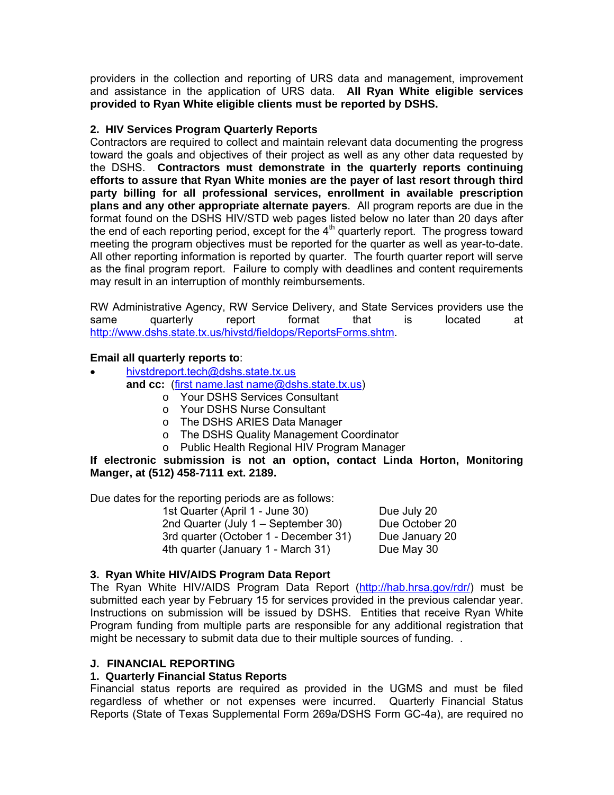providers in the collection and reporting of URS data and management, improvement and assistance in the application of URS data. **All Ryan White eligible services provided to Ryan White eligible clients must be reported by DSHS.** 

### **2. HIV Services Program Quarterly Reports**

Contractors are required to collect and maintain relevant data documenting the progress toward the goals and objectives of their project as well as any other data requested by the DSHS. **Contractors must demonstrate in the quarterly reports continuing efforts to assure that Ryan White monies are the payer of last resort through third party billing for all professional services, enrollment in available prescription plans and any other appropriate alternate payers**. All program reports are due in the format found on the DSHS HIV/STD web pages listed below no later than 20 days after the end of each reporting period, except for the  $4<sup>th</sup>$  quarterly report. The progress toward meeting the program objectives must be reported for the quarter as well as year-to-date. All other reporting information is reported by quarter. The fourth quarter report will serve as the final program report. Failure to comply with deadlines and content requirements may result in an interruption of monthly reimbursements.

RW Administrative Agency, RW Service Delivery, and State Services providers use the same quarterly report format that is located at http://www.dshs.state.tx.us/hivstd/fieldops/ReportsForms.shtm.

### **Email all quarterly reports to**:

- hivstdreport.tech@dshs.state.tx.us **and cc:** (first name.last name@dshs.state.tx.us)
	- o Your DSHS Services Consultant
	- o Your DSHS Nurse Consultant
	- o The DSHS ARIES Data Manager
	- o The DSHS Quality Management Coordinator
	- o Public Health Regional HIV Program Manager

**If electronic submission is not an option, contact Linda Horton, Monitoring Manger, at (512) 458-7111 ext. 2189.** 

Due dates for the reporting periods are as follows:

1st Quarter (April 1 - June 30) Due July 20 2nd Quarter (July 1 – September 30) Due October 20 3rd quarter (October 1 - December 31) Due January 20 4th quarter (January 1 - March 31) Due May 30

### **3. Ryan White HIV/AIDS Program Data Report**

The Ryan White HIV/AIDS Program Data Report (http://hab.hrsa.gov/rdr/) must be submitted each year by February 15 for services provided in the previous calendar year. Instructions on submission will be issued by DSHS. Entities that receive Ryan White Program funding from multiple parts are responsible for any additional registration that might be necessary to submit data due to their multiple sources of funding. .

#### **J. FINANCIAL REPORTING**

#### **1. Quarterly Financial Status Reports**

Financial status reports are required as provided in the UGMS and must be filed regardless of whether or not expenses were incurred. Quarterly Financial Status Reports (State of Texas Supplemental Form 269a/DSHS Form GC-4a), are required no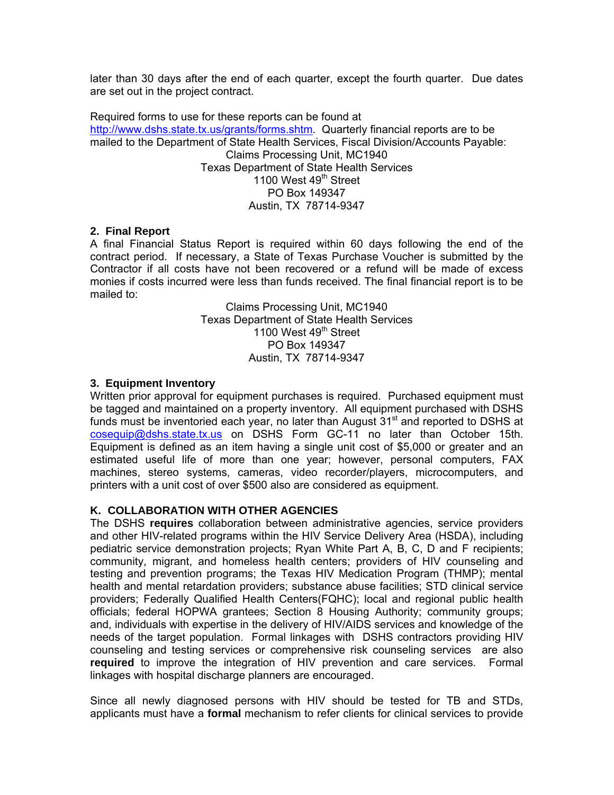later than 30 days after the end of each quarter, except the fourth quarter. Due dates are set out in the project contract.

Required forms to use for these reports can be found at http://www.dshs.state.tx.us/grants/forms.shtm. Quarterly financial reports are to be mailed to the Department of State Health Services, Fiscal Division/Accounts Payable: Claims Processing Unit, MC1940 Texas Department of State Health Services 1100 West 49<sup>th</sup> Street PO Box 149347 Austin, TX 78714-9347

#### **2. Final Report**

A final Financial Status Report is required within 60 days following the end of the contract period. If necessary, a State of Texas Purchase Voucher is submitted by the Contractor if all costs have not been recovered or a refund will be made of excess monies if costs incurred were less than funds received. The final financial report is to be mailed to:

> Claims Processing Unit, MC1940 Texas Department of State Health Services 1100 West  $49<sup>th</sup>$  Street PO Box 149347 Austin, TX 78714-9347

### **3. Equipment Inventory**

Written prior approval for equipment purchases is required. Purchased equipment must be tagged and maintained on a property inventory. All equipment purchased with DSHS funds must be inventoried each vear, no later than August  $31<sup>st</sup>$  and reported to DSHS at cosequip@dshs.state.tx.us on DSHS Form GC-11 no later than October 15th. Equipment is defined as an item having a single unit cost of \$5,000 or greater and an estimated useful life of more than one year; however, personal computers, FAX machines, stereo systems, cameras, video recorder/players, microcomputers, and printers with a unit cost of over \$500 also are considered as equipment.

### **K. COLLABORATION WITH OTHER AGENCIES**

The DSHS **requires** collaboration between administrative agencies, service providers and other HIV-related programs within the HIV Service Delivery Area (HSDA), including pediatric service demonstration projects; Ryan White Part A, B, C, D and F recipients; community, migrant, and homeless health centers; providers of HIV counseling and testing and prevention programs; the Texas HIV Medication Program (THMP); mental health and mental retardation providers; substance abuse facilities; STD clinical service providers; Federally Qualified Health Centers(FQHC); local and regional public health officials; federal HOPWA grantees; Section 8 Housing Authority; community groups; and, individuals with expertise in the delivery of HIV/AIDS services and knowledge of the needs of the target population. Formal linkages with DSHS contractors providing HIV counseling and testing services or comprehensive risk counseling services are also **required** to improve the integration of HIV prevention and care services. Formal linkages with hospital discharge planners are encouraged.

Since all newly diagnosed persons with HIV should be tested for TB and STDs, applicants must have a **formal** mechanism to refer clients for clinical services to provide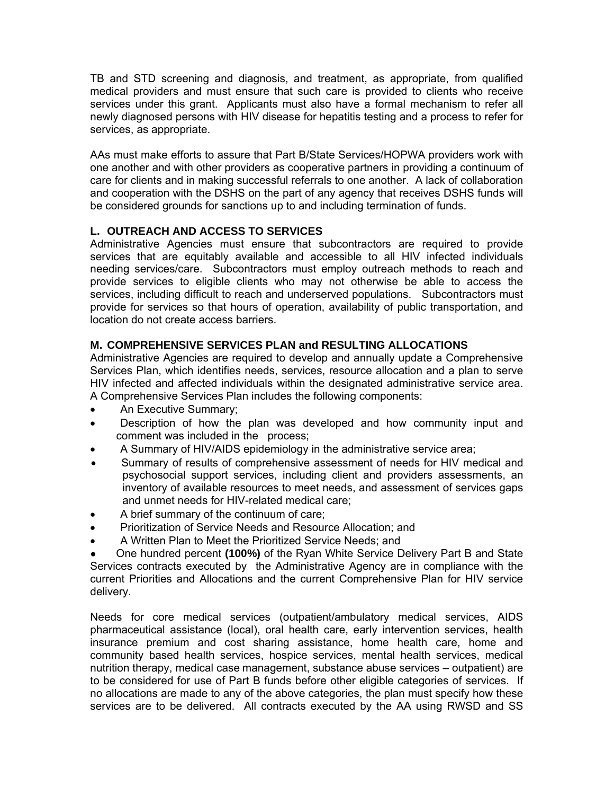TB and STD screening and diagnosis, and treatment, as appropriate, from qualified medical providers and must ensure that such care is provided to clients who receive services under this grant. Applicants must also have a formal mechanism to refer all newly diagnosed persons with HIV disease for hepatitis testing and a process to refer for services, as appropriate.

AAs must make efforts to assure that Part B/State Services/HOPWA providers work with one another and with other providers as cooperative partners in providing a continuum of care for clients and in making successful referrals to one another. A lack of collaboration and cooperation with the DSHS on the part of any agency that receives DSHS funds will be considered grounds for sanctions up to and including termination of funds.

# **L. OUTREACH AND ACCESS TO SERVICES**

Administrative Agencies must ensure that subcontractors are required to provide services that are equitably available and accessible to all HIV infected individuals needing services/care. Subcontractors must employ outreach methods to reach and provide services to eligible clients who may not otherwise be able to access the services, including difficult to reach and underserved populations. Subcontractors must provide for services so that hours of operation, availability of public transportation, and location do not create access barriers.

# **M. COMPREHENSIVE SERVICES PLAN and RESULTING ALLOCATIONS**

Administrative Agencies are required to develop and annually update a Comprehensive Services Plan, which identifies needs, services, resource allocation and a plan to serve HIV infected and affected individuals within the designated administrative service area. A Comprehensive Services Plan includes the following components:

- An Executive Summary:
- Description of how the plan was developed and how community input and comment was included in the process;
- A Summary of HIV/AIDS epidemiology in the administrative service area;
- Summary of results of comprehensive assessment of needs for HIV medical and psychosocial support services, including client and providers assessments, an inventory of available resources to meet needs, and assessment of services gaps and unmet needs for HIV-related medical care;
- A brief summary of the continuum of care;
- Prioritization of Service Needs and Resource Allocation; and
- A Written Plan to Meet the Prioritized Service Needs; and

One hundred percent (100%) of the Ryan White Service Delivery Part B and State Services contracts executed by the Administrative Agency are in compliance with the current Priorities and Allocations and the current Comprehensive Plan for HIV service delivery.

Needs for core medical services (outpatient/ambulatory medical services, AIDS pharmaceutical assistance (local), oral health care, early intervention services, health insurance premium and cost sharing assistance, home health care, home and community based health services, hospice services, mental health services, medical nutrition therapy, medical case management, substance abuse services – outpatient) are to be considered for use of Part B funds before other eligible categories of services. If no allocations are made to any of the above categories, the plan must specify how these services are to be delivered. All contracts executed by the AA using RWSD and SS